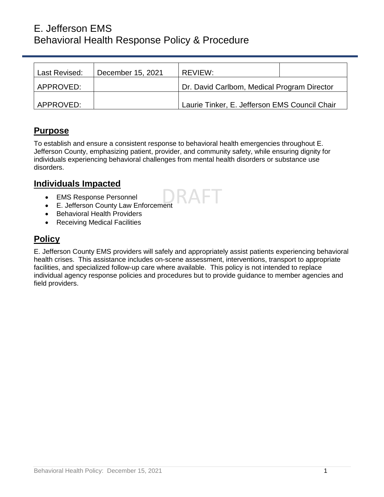# E. Jefferson EMS Behavioral Health Response Policy & Procedure

| Last Revised: | December 15, 2021 | REVIEW:                                       |  |
|---------------|-------------------|-----------------------------------------------|--|
| APPROVED:     |                   | Dr. David Carlbom, Medical Program Director   |  |
| APPROVED:     |                   | Laurie Tinker, E. Jefferson EMS Council Chair |  |

# **Purpose**

To establish and ensure a consistent response to behavioral health emergencies throughout E. Jefferson County, emphasizing patient, provider, and community safety, while ensuring dignity for individuals experiencing behavioral challenges from mental health disorders or substance use disorders.

# **Individuals Impacted**

- EMS Response Personnel
- E. Jefferson County Law Enforcement
- Behavioral Health Providers
- Receiving Medical Facilities

# **Policy**

E. Jefferson County EMS providers will safely and appropriately assist patients experiencing behavioral health crises. This assistance includes on-scene assessment, interventions, transport to appropriate facilities, and specialized follow-up care where available. This policy is not intended to replace individual agency response policies and procedures but to provide guidance to member agencies and field providers.

2 A F I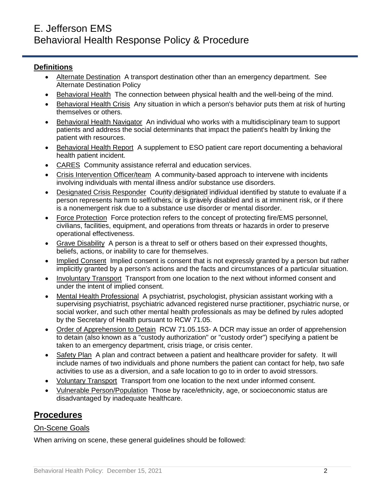### **Definitions**

- Alternate Destination A transport destination other than an emergency department. See Alternate Destination Policy
- Behavioral HealthThe connection between physical health and the well-being of the mind.
- Behavioral Health CrisisAny situation in which a person's behavior puts them at risk of hurting themselves or others.
- Behavioral Health NavigatorAn individual who works with a multidisciplinary team to support patients and address the social determinants that impact the patient's health by linking the patient with resources.
- Behavioral Health ReportA supplement to ESO patient care report documenting a behavioral health patient incident.
- CARESCommunity assistance referral and education services.
- Crisis Intervention Officer/teamA community-based approach to intervene with incidents involving individuals with mental illness and/or substance use disorders.
- Designated Crisis ResponderCounty designated individual identified by statute to evaluate if a person represents harm to self/others, or is gravely disabled and is at imminent risk, or if there is a nonemergent risk due to a substance use disorder or mental disorder.
- Force ProtectionForce protection refers to the concept of protecting fire/EMS personnel, civilians, facilities, equipment, and operations from threats or hazards in order to preserve operational effectiveness.
- Grave Disability A person is a threat to self or others based on their expressed thoughts, beliefs, actions, or inability to care for themselves.
- Implied ConsentImplied consent is consent that is not expressly granted by a person but rather implicitly granted by a person's actions and the facts and circumstances of a particular situation.
- Involuntary TransportTransport from one location to the next without informed consent and under the intent of implied consent.
- Mental Health Professional A psychiatrist, psychologist, physician assistant working with a supervising psychiatrist, psychiatric advanced registered nurse practitioner, psychiatric nurse, or social worker, and such other mental health professionals as may be defined by rules adopted by the Secretary of Health pursuant to RCW 71.05.
- Order of Apprehension to Detain RCW 71.05.153- A DCR may issue an order of apprehension to detain (also known as a "custody authorization" or "custody order") specifying a patient be taken to an emergency department, crisis triage, or crisis center.
- Safety PlanA plan and contract between a patient and healthcare provider for safety. It will include names of two individuals and phone numbers the patient can contact for help, two safe activities to use as a diversion, and a safe location to go to in order to avoid stressors.
- Voluntary TransportTransport from one location to the next under informed consent.
- Vulnerable Person/PopulationThose by race/ethnicity, age, or socioeconomic status are disadvantaged by inadequate healthcare.

# **Procedures**

#### On-Scene Goals

When arriving on scene, these general guidelines should be followed: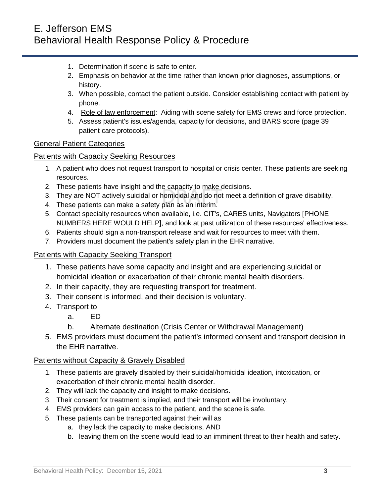- 1. Determination if scene is safe to enter.
- 2. Emphasis on behavior at the time rather than known prior diagnoses, assumptions, or history.
- 3. When possible, contact the patient outside. Consider establishing contact with patient by phone.
- 4. Role of law enforcement: Aiding with scene safety for EMS crews and force protection.
- 5. Assess patient's issues/agenda, capacity for decisions, and BARS score (page 39 patient care protocols).

### General Patient Categories

### Patients with Capacity Seeking Resources

- 1. A patient who does not request transport to hospital or crisis center. These patients are seeking resources.
- 2. These patients have insight and the capacity to make decisions.
- 3. They are NOT actively suicidal or homicidal and do not meet a definition of grave disability.
- 4. These patients can make a safety plan as an interim.
- 5. Contact specialty resources when available, i.e. CIT's, CARES units, Navigators [PHONE NUMBERS HERE WOULD HELP], and look at past utilization of these resources' effectiveness.
- 6. Patients should sign a non-transport release and wait for resources to meet with them.
- 7. Providers must document the patient's safety plan in the EHR narrative.

## Patients with Capacity Seeking Transport

- 1. These patients have some capacity and insight and are experiencing suicidal or homicidal ideation or exacerbation of their chronic mental health disorders.
- 2. In their capacity, they are requesting transport for treatment.
- 3. Their consent is informed, and their decision is voluntary.
- 4. Transport to
	- a. ED
	- b. Alternate destination (Crisis Center or Withdrawal Management)
- 5. EMS providers must document the patient's informed consent and transport decision in the EHR narrative.

## Patients without Capacity & Gravely Disabled

- 1. These patients are gravely disabled by their suicidal/homicidal ideation, intoxication, or exacerbation of their chronic mental health disorder.
- 2. They will lack the capacity and insight to make decisions.
- 3. Their consent for treatment is implied, and their transport will be involuntary.
- 4. EMS providers can gain access to the patient, and the scene is safe.
- 5. These patients can be transported against their will as
	- a. they lack the capacity to make decisions, AND
	- b. leaving them on the scene would lead to an imminent threat to their health and safety.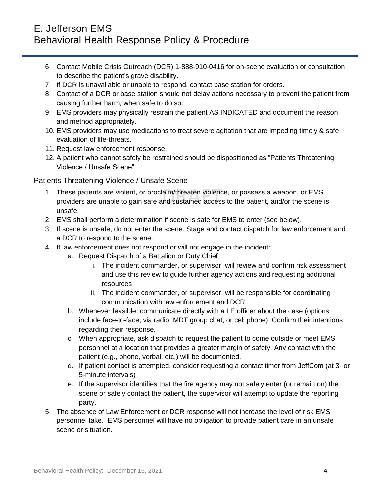# E. Jefferson EMS Behavioral Health Response Policy & Procedure

- 6. Contact Mobile Crisis Outreach (DCR) 1-888-910-0416 for on-scene evaluation or consultation to describe the patient's grave disability.
- 7. If DCR is unavailable or unable to respond, contact base station for orders.
- 8. Contact of a DCR or base station should not delay actions necessary to prevent the patient from causing further harm, when safe to do so.
- 9. EMS providers may physically restrain the patient AS INDICATED and document the reason and method appropriately.
- 10. EMS providers may use medications to treat severe agitation that are impeding timely & safe evaluation of life-threats.
- 11. Request law enforcement response.
- 12. A patient who cannot safely be restrained should be dispositioned as "Patients Threatening Violence / Unsafe Scene"

### Patients Threatening Violence / Unsafe Scene

- 1. These patients are violent, or proclaim/threaten violence, or possess a weapon, or EMS providers are unable to gain safe and sustained access to the patient, and/or the scene is unsafe.
- 2. EMS shall perform a determination if scene is safe for EMS to enter (see below).
- 3. If scene is unsafe, do not enter the scene. Stage and contact dispatch for law enforcement and a DCR to respond to the scene.
- 4. If law enforcement does not respond or will not engage in the incident:
	- a. Request Dispatch of a Battalion or Duty Chief
		- i. The incident commander, or supervisor, will review and confirm risk assessment and use this review to guide further agency actions and requesting additional resources
		- ii. The incident commander, or supervisor, will be responsible for coordinating communication with law enforcement and DCR
		- b. Whenever feasible, communicate directly with a LE officer about the case (options include face-to-face, via radio, MDT group chat, or cell phone). Confirm their intentions regarding their response.
		- c. When appropriate, ask dispatch to request the patient to come outside or meet EMS personnel at a location that provides a greater margin of safety. Any contact with the patient (e.g., phone, verbal, etc.) will be documented.
		- d. If patient contact is attempted, consider requesting a contact timer from JeffCom (at 3- or 5-minute intervals)
		- e. If the supervisor identifies that the fire agency may not safely enter (or remain on) the scene or safely contact the patient, the supervisor will attempt to update the reporting party.
- 5. The absence of Law Enforcement or DCR response will not increase the level of risk EMS personnel take. EMS personnel will have no obligation to provide patient care in an unsafe scene or situation.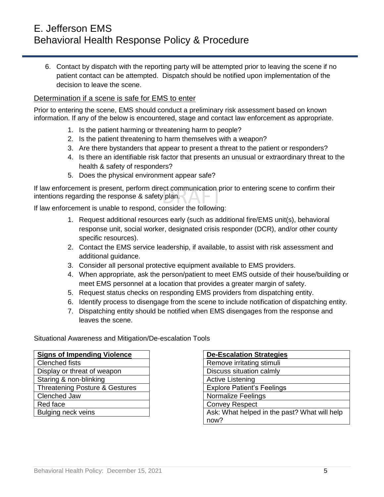6. Contact by dispatch with the reporting party will be attempted prior to leaving the scene if no patient contact can be attempted. Dispatch should be notified upon implementation of the decision to leave the scene.

#### Determination if a scene is safe for EMS to enter

Prior to entering the scene, EMS should conduct a preliminary risk assessment based on known information. If any of the below is encountered, stage and contact law enforcement as appropriate.

- 1. Is the patient harming or threatening harm to people?
- 2. Is the patient threatening to harm themselves with a weapon?
- 3. Are there bystanders that appear to present a threat to the patient or responders?
- 4. Is there an identifiable risk factor that presents an unusual or extraordinary threat to the health & safety of responders?
- 5. Does the physical environment appear safe?

If law enforcement is present, perform direct communication prior to entering scene to confirm their intentions regarding the response & safety plan.

If law enforcement is unable to respond, consider the following:

- 1. Request additional resources early (such as additional fire/EMS unit(s), behavioral response unit, social worker, designated crisis responder (DCR), and/or other county specific resources).
- 2. Contact the EMS service leadership, if available, to assist with risk assessment and additional guidance.
- 3. Consider all personal protective equipment available to EMS providers.
- 4. When appropriate, ask the person/patient to meet EMS outside of their house/building or meet EMS personnel at a location that provides a greater margin of safety.
- 5. Request status checks on responding EMS providers from dispatching entity.
- 6. Identify process to disengage from the scene to include notification of dispatching entity.
- 7. Dispatching entity should be notified when EMS disengages from the response and leaves the scene.

Situational Awareness and Mitigation/De-escalation Tools

| <b>Signs of Impending Violence</b> |  |  |
|------------------------------------|--|--|
| <b>Clenched fists</b>              |  |  |
| Display or threat of weapon        |  |  |
| Staring & non-blinking             |  |  |
| Threatening Posture & Gestures     |  |  |
| Clenched Jaw                       |  |  |
| Red face                           |  |  |
| Bulging neck veins                 |  |  |

| <b>De-Escalation Strategies</b>              |  |  |
|----------------------------------------------|--|--|
| Remove irritating stimuli                    |  |  |
| Discuss situation calmly                     |  |  |
| <b>Active Listening</b>                      |  |  |
| <b>Explore Patient's Feelings</b>            |  |  |
| <b>Normalize Feelings</b>                    |  |  |
| <b>Convey Respect</b>                        |  |  |
| Ask: What helped in the past? What will help |  |  |
| now?                                         |  |  |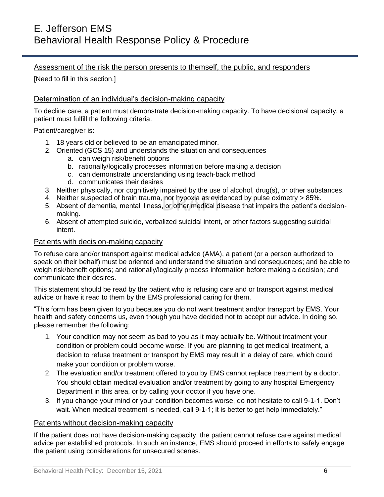### Assessment of the risk the person presents to themself, the public, and responders

[Need to fill in this section.]

#### Determination of an individual's decision-making capacity

To decline care, a patient must demonstrate decision-making capacity. To have decisional capacity, a patient must fulfill the following criteria.

Patient/caregiver is:

- 1. 18 years old or believed to be an emancipated minor.
- 2. Oriented (GCS 15) and understands the situation and consequences
	- a. can weigh risk/benefit options
	- b. rationally/logically processes information before making a decision
	- c. can demonstrate understanding using teach-back method
	- d. communicates their desires
- 3. Neither physically, nor cognitively impaired by the use of alcohol, drug(s), or other substances.
- 4. Neither suspected of brain trauma, nor hypoxia as evidenced by pulse oximetry > 85%.
- 5. Absent of dementia, mental illness, or other medical disease that impairs the patient's decisionmaking.
- 6. Absent of attempted suicide, verbalized suicidal intent, or other factors suggesting suicidal intent.

#### Patients with decision-making capacity

To refuse care and/or transport against medical advice (AMA), a patient (or a person authorized to speak on their behalf) must be oriented and understand the situation and consequences; and be able to weigh risk/benefit options; and rationally/logically process information before making a decision; and communicate their desires.

This statement should be read by the patient who is refusing care and or transport against medical advice or have it read to them by the EMS professional caring for them.

"This form has been given to you because you do not want treatment and/or transport by EMS. Your health and safety concerns us, even though you have decided not to accept our advice. In doing so, please remember the following:

- 1. Your condition may not seem as bad to you as it may actually be. Without treatment your condition or problem could become worse. If you are planning to get medical treatment, a decision to refuse treatment or transport by EMS may result in a delay of care, which could make your condition or problem worse.
- 2. The evaluation and/or treatment offered to you by EMS cannot replace treatment by a doctor. You should obtain medical evaluation and/or treatment by going to any hospital Emergency Department in this area, or by calling your doctor if you have one.
- 3. If you change your mind or your condition becomes worse, do not hesitate to call 9-1-1. Don't wait. When medical treatment is needed, call 9-1-1; it is better to get help immediately."

#### Patients without decision-making capacity

If the patient does not have decision-making capacity, the patient cannot refuse care against medical advice per established protocols. In such an instance, EMS should proceed in efforts to safely engage the patient using considerations for unsecured scenes.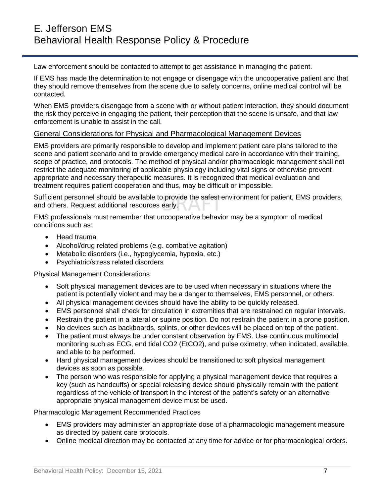Law enforcement should be contacted to attempt to get assistance in managing the patient.

If EMS has made the determination to not engage or disengage with the uncooperative patient and that they should remove themselves from the scene due to safety concerns, online medical control will be contacted.

When EMS providers disengage from a scene with or without patient interaction, they should document the risk they perceive in engaging the patient, their perception that the scene is unsafe, and that law enforcement is unable to assist in the call.

#### General Considerations for Physical and Pharmacological Management Devices

EMS providers are primarily responsible to develop and implement patient care plans tailored to the scene and patient scenario and to provide emergency medical care in accordance with their training, scope of practice, and protocols. The method of physical and/or pharmacologic management shall not restrict the adequate monitoring of applicable physiology including vital signs or otherwise prevent appropriate and necessary therapeutic measures. It is recognized that medical evaluation and treatment requires patient cooperation and thus, may be difficult or impossible.

Sufficient personnel should be available to provide the safest environment for patient, EMS providers, and others. Request additional resources early.

EMS professionals must remember that uncooperative behavior may be a symptom of medical conditions such as:

- Head trauma
- Alcohol/drug related problems (e.g. combative agitation)
- Metabolic disorders (i.e., hypoglycemia, hypoxia, etc.)
- Psychiatric/stress related disorders

Physical Management Considerations

- Soft physical management devices are to be used when necessary in situations where the patient is potentially violent and may be a danger to themselves, EMS personnel, or others.
- All physical management devices should have the ability to be quickly released.
- EMS personnel shall check for circulation in extremities that are restrained on regular intervals.
- Restrain the patient in a lateral or supine position. Do not restrain the patient in a prone position.
- No devices such as backboards, splints, or other devices will be placed on top of the patient.
- The patient must always be under constant observation by EMS. Use continuous multimodal monitoring such as ECG, end tidal CO2 (EtCO2), and pulse oximetry, when indicated, available, and able to be performed.
- Hard physical management devices should be transitioned to soft physical management devices as soon as possible.
- The person who was responsible for applying a physical management device that requires a key (such as handcuffs) or special releasing device should physically remain with the patient regardless of the vehicle of transport in the interest of the patient's safety or an alternative appropriate physical management device must be used.

Pharmacologic Management Recommended Practices

- EMS providers may administer an appropriate dose of a pharmacologic management measure as directed by patient care protocols.
- Online medical direction may be contacted at any time for advice or for pharmacological orders.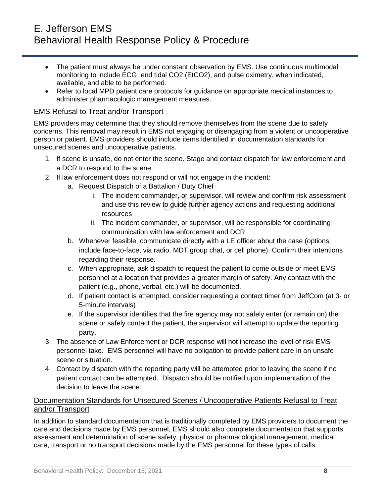- The patient must always be under constant observation by EMS. Use continuous multimodal monitoring to include ECG, end tidal CO2 (EtCO2), and pulse oximetry, when indicated, available, and able to be performed.
- Refer to local MPD patient care protocols for guidance on appropriate medical instances to administer pharmacologic management measures.

### EMS Refusal to Treat and/or Transport

EMS providers may determine that they should remove themselves from the scene due to safety concerns. This removal may result in EMS not engaging or disengaging from a violent or uncooperative person or patient. EMS providers should include items identified in documentation standards for unsecured scenes and uncooperative patients.

- 1. If scene is unsafe, do not enter the scene. Stage and contact dispatch for law enforcement and a DCR to respond to the scene.
- 2. If law enforcement does not respond or will not engage in the incident:
	- a. Request Dispatch of a Battalion / Duty Chief
		- i. The incident commander, or supervisor, will review and confirm risk assessment and use this review to guide further agency actions and requesting additional resources
		- ii. The incident commander, or supervisor, will be responsible for coordinating communication with law enforcement and DCR
	- b. Whenever feasible, communicate directly with a LE officer about the case (options include face-to-face, via radio, MDT group chat, or cell phone). Confirm their intentions regarding their response.
	- c. When appropriate, ask dispatch to request the patient to come outside or meet EMS personnel at a location that provides a greater margin of safety. Any contact with the patient (e.g., phone, verbal, etc.) will be documented.
	- d. If patient contact is attempted, consider requesting a contact timer from JeffCom (at 3- or 5-minute intervals)
	- e. If the supervisor identifies that the fire agency may not safely enter (or remain on) the scene or safely contact the patient, the supervisor will attempt to update the reporting party.
- 3. The absence of Law Enforcement or DCR response will not increase the level of risk EMS personnel take. EMS personnel will have no obligation to provide patient care in an unsafe scene or situation.
- 4. Contact by dispatch with the reporting party will be attempted prior to leaving the scene if no patient contact can be attempted. Dispatch should be notified upon implementation of the decision to leave the scene.

## Documentation Standards for Unsecured Scenes / Uncooperative Patients Refusal to Treat and/or Transport

In addition to standard documentation that is traditionally completed by EMS providers to document the care and decisions made by EMS personnel, EMS should also complete documentation that supports assessment and determination of scene safety, physical or pharmacological management, medical care, transport or no transport decisions made by the EMS personnel for these types of calls.